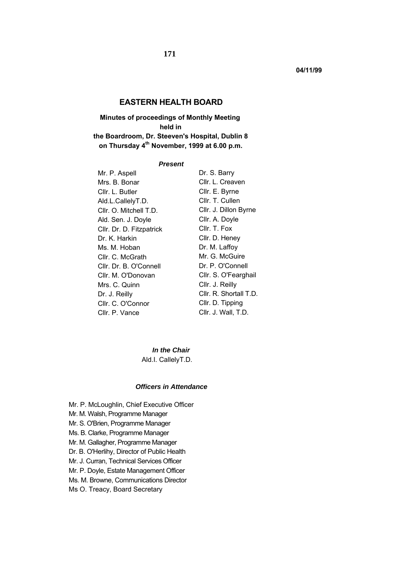# **EASTERN HEALTH BOARD**

**Minutes of proceedings of Monthly Meeting held in the Boardroom, Dr. Steeven's Hospital, Dublin 8 on Thursday 4th November, 1999 at 6.00 p.m.** 

#### *Present*

| Dr. S. Barry           |
|------------------------|
| Cllr. L. Creaven       |
| Cllr. E. Byrne         |
| Cllr. T. Cullen        |
| Cllr. J. Dillon Byrne  |
| Cllr. A. Doyle         |
| Cllr. T. Fox           |
| Cllr. D. Heney         |
| Dr. M. Laffoy          |
| Mr. G. McGuire         |
| Dr. P. O'Connell       |
| Cllr. S. O'Fearghail   |
| Cllr. J. Reilly        |
| Cllr. R. Shortall T.D. |
| Cllr. D. Tipping       |
| Cllr. J. Wall, T.D.    |
|                        |

*In the Chair*  Ald.I. CallelyT.D.

#### *Officers in Attendance*

- Mr. P. McLoughlin, Chief Executive Officer
- Mr. M. Walsh, Programme Manager
- Mr. S. O'Brien, Programme Manager
- Ms. B. Clarke, Programme Manager
- Mr. M. Gallagher, Programme Manager
- Dr. B. O'Herlihy, Director of Public Health
- Mr. J. Curran, Technical Services Officer
- Mr. P. Doyle, Estate Management Officer
- Ms. M. Browne, Communications Director
- Ms O. Treacy, Board Secretary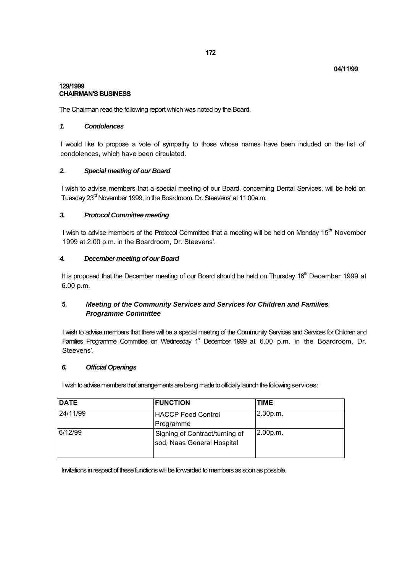### **129/1999 CHAIRMAN'S BUSINESS**

The Chairman read the following report which was noted by the Board.

## *1. Condolences*

I would like to propose a vote of sympathy to those whose names have been included on the list of condolences, which have been circulated.

## *2. Special meeting of our Board*

I wish to advise members that a special meeting of our Board, concerning Dental Services, will be held on Tuesday 23<sup>rd</sup> November 1999, in the Boardroom, Dr. Steevens' at 11.00a.m.

## *3. Protocol Committee meeting*

I wish to advise members of the Protocol Committee that a meeting will be held on Monday 15<sup>th</sup> November 1999 at 2.00 p.m. in the Boardroom, Dr. Steevens'.

## *4. December meeting of our Board*

It is proposed that the December meeting of our Board should be held on Thursday 16<sup>th</sup> December 1999 at 6.00 p.m.

# **5.** *Meeting of the Community Services and Services for Children and Families Programme Committee*

I wish to advise members that there will be a special meeting of the Community Services and Services for Children and Families Programme Committee on Wednesday  $1<sup>st</sup>$  December 1999 at 6.00 p.m. in the Boardroom, Dr. Steevens'.

## *6. Official Openings*

I wish to advise members that arrangements are being made to officially launch the following services:

| <b>DATE</b> | <b>FUNCTION</b>                                              | <b>TIME</b> |
|-------------|--------------------------------------------------------------|-------------|
| 24/11/99    | <b>HACCP Food Control</b>                                    | 2.30 p.m.   |
|             | Programme                                                    |             |
| 6/12/99     | Signing of Contract/turning of<br>sod, Naas General Hospital | 2.00 p.m.   |

Invitations in respect of these functions will be forwarded to members as soon as possible.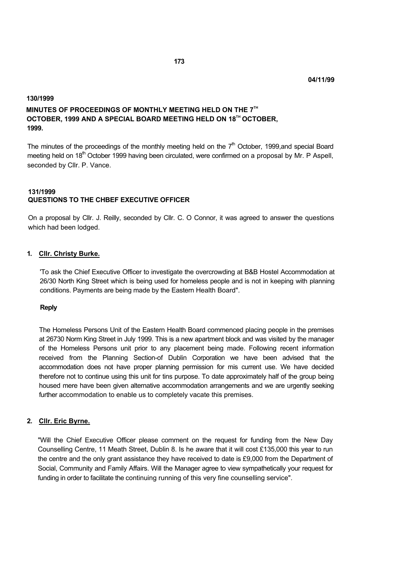# **130/1999 MINUTES OF PROCEEDINGS OF MONTHLY MEETING HELD ON THE 7TH OCTOBER, 1999 AND A SPECIAL BOARD MEETING HELD ON 18TH OCTOBER, 1999.**

The minutes of the proceedings of the monthly meeting held on the  $7<sup>th</sup>$  October, 1999, and special Board meeting held on 18<sup>th</sup> October 1999 having been circulated, were confirmed on a proposal by Mr. P Aspell, seconded by Cllr. P. Vance.

## **131/1999 QUESTIONS TO THE CHBEF EXECUTIVE OFFICER**

On a proposal by Cllr. J. Reilly, seconded by Cllr. C. O Connor, it was agreed to answer the questions which had been lodged.

## **1. Cllr. Christy Burke.**

'To ask the Chief Executive Officer to investigate the overcrowding at B&B Hostel Accommodation at 26/30 North King Street which is being used for homeless people and is not in keeping with planning conditions. Payments are being made by the Eastern Health Board".

## **Reply**

The Homeless Persons Unit of the Eastern Health Board commenced placing people in the premises at 26730 Norm King Street in July 1999. This is a new apartment block and was visited by the manager of the Homeless Persons unit prior to any placement being made. Following recent information received from the Planning Section-of Dublin Corporation we have been advised that the accommodation does not have proper planning permission for mis current use. We have decided therefore not to continue using this unit for tins purpose. To date approximately half of the group being housed mere have been given alternative accommodation arrangements and we are urgently seeking further accommodation to enable us to completely vacate this premises.

## **2. Cllr. Eric Byrne.**

"Will the Chief Executive Officer please comment on the request for funding from the New Day Counselling Centre, 11 Meath Street, Dublin 8. Is he aware that it will cost £135,000 this year to run the centre and the only grant assistance they have received to date is £9,000 from the Department of Social, Community and Family Affairs. Will the Manager agree to view sympathetically your request for funding in order to facilitate the continuing running of this very fine counselling service".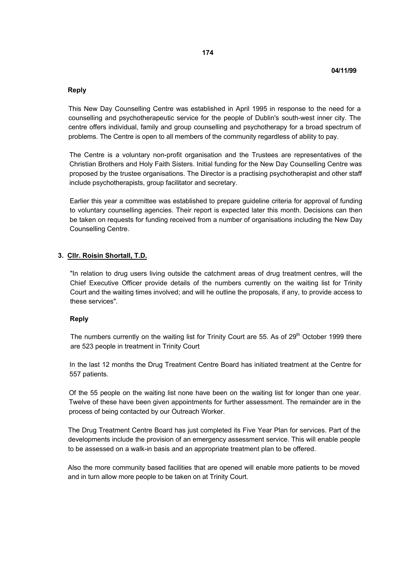### **Reply**

This New Day Counselling Centre was established in April 1995 in response to the need for a counselling and psychotherapeutic service for the people of Dublin's south-west inner city. The centre offers individual, family and group counselling and psychotherapy for a broad spectrum of problems. The Centre is open to all members of the community regardless of ability to pay.

The Centre is a voluntary non-profit organisation and the Trustees are representatives of the Christian Brothers and Holy Faith Sisters. Initial funding for the New Day Counselling Centre was proposed by the trustee organisations. The Director is a practising psychotherapist and other staff include psychotherapists, group facilitator and secretary.

Earlier this year a committee was established to prepare guideline criteria for approval of funding to voluntary counselling agencies. Their report is expected later this month. Decisions can then be taken on requests for funding received from a number of organisations including the New Day Counselling Centre.

### **3. Cllr. Roisin Shortall, T.D.**

"In relation to drug users living outside the catchment areas of drug treatment centres, will the Chief Executive Officer provide details of the numbers currently on the waiting list for Trinity Court and the waiting times involved; and will he outline the proposals, if any, to provide access to these services".

#### **Reply**

The numbers currently on the waiting list for Trinity Court are 55. As of  $29<sup>th</sup>$  October 1999 there are 523 people in treatment in Trinity Court

In the last 12 months the Drug Treatment Centre Board has initiated treatment at the Centre for 557 patients.

Of the 55 people on the waiting list none have been on the waiting list for longer than one year. Twelve of these have been given appointments for further assessment. The remainder are in the process of being contacted by our Outreach Worker.

The Drug Treatment Centre Board has just completed its Five Year Plan for services. Part of the developments include the provision of an emergency assessment service. This will enable people to be assessed on a walk-in basis and an appropriate treatment plan to be offered.

Also the more community based facilities that are opened will enable more patients to be moved and in turn allow more people to be taken on at Trinity Court.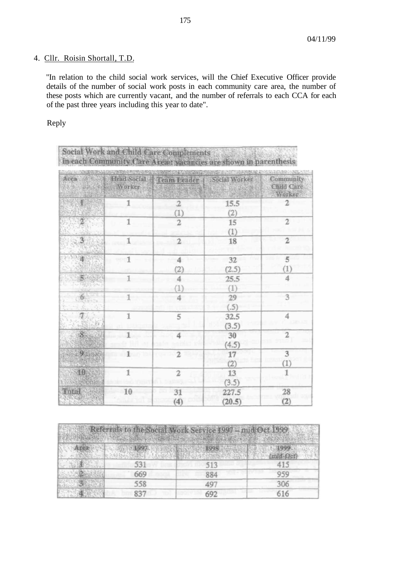# 4. Cllr. Roisin Shortall, T.D.

"In relation to the child social work services, will the Chief Executive Officer provide details of the number of social work posts in each community care area, the number of these posts which are currently vacant, and the number of referrals to each CCA for each of the past three years including this year to date".

Reply

| Social Work and Child Care Complements<br>in each Community Care Area: vacancies are shown in parenthesis |  |
|-----------------------------------------------------------------------------------------------------------|--|
|                                                                                                           |  |

|                              | New DAY You Worker             | Area Head Social Team Leader Social Worker |                 | Community<br>Child Care<br>Worker. |
|------------------------------|--------------------------------|--------------------------------------------|-----------------|------------------------------------|
|                              | 1                              | $\overline{2}$<br>(1)                      | 15.5<br>(2)     | $\mathfrak{D}$                     |
|                              | 1                              | $\overline{2}$                             | 15<br>(1)       | 2                                  |
| 3                            | 1                              | $\mathbf{2}$                               | 18              | $\overline{2}$                     |
| 推                            | $\sim$ 1                       | 4<br>(2)                                   | 32<br>(2.5)     | 5<br>(1)                           |
| S.                           |                                | 4<br>(1)                                   | 25.5<br>(1)     | 4                                  |
| 6 <sup>1</sup>               |                                |                                            | 29<br>(.5)      | 3                                  |
| $\tau$                       | 1                              | 5                                          | 32.5<br>(3.5)   | 4                                  |
| 8 <sup>°</sup>               | $\mathbf{1}$<br>11.A<br>$-0.5$ | 4<br>esa Sek                               | 30<br>(4.5)     | $\overline{2}$                     |
| $9 - 10$                     | $1$ . A line stress in         | $\mathfrak{D}$                             | 17<br>(2)       | 3<br>(1)                           |
| 10                           | 1                              | $\overline{2}$                             | 13<br>(3.5)     | 1                                  |
| Total<br><b>LOWGE</b><br>动物理 | 10                             | 31<br>(4)                                  | 227.5<br>(20.5) | 28<br>(2)                          |

| Referrals to the Social Work Service 1997 - mid Oct 1999 |     |     |            |
|----------------------------------------------------------|-----|-----|------------|
| Area                                                     |     |     | $mid$ -Oct |
|                                                          | 531 | 513 | 415        |
|                                                          | 669 | 884 | 959        |
|                                                          | 558 | 49. | 306        |
|                                                          |     | 692 | 616        |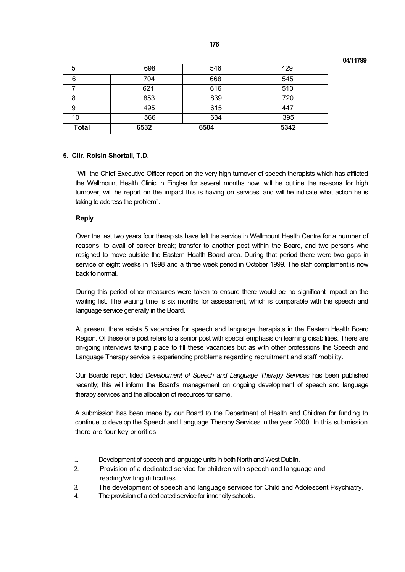**04/11799** 

| <b>Total</b> | 6532 | 6504 | 5342 |
|--------------|------|------|------|
| 10           | 566  | 634  | 395  |
| 9            | 495  | 615  | 447  |
| 8            | 853  | 839  | 720  |
|              | 621  | 616  | 510  |
| 6            | 704  | 668  | 545  |
| 5            | 698  | 546  | 429  |

## **5. Cllr. Roisin Shortall, T.D.**

"Will the Chief Executive Officer report on the very high turnover of speech therapists which has afflicted the Wellmount Health Clinic in Finglas for several months now; will he outline the reasons for high turnover, will he report on the impact this is having on services; and will he indicate what action he is taking to address the problem".

### **Reply**

Over the last two years four therapists have left the service in Wellmount Health Centre for a number of reasons; to avail of career break; transfer to another post within the Board, and two persons who resigned to move outside the Eastern Health Board area. During that period there were two gaps in service of eight weeks in 1998 and a three week period in October 1999. The staff complement is now back to normal.

During this period other measures were taken to ensure there would be no significant impact on the waiting list. The waiting time is six months for assessment, which is comparable with the speech and language service generally in the Board.

At present there exists 5 vacancies for speech and language therapists in the Eastern Health Board Region. Of these one post refers to a senior post with special emphasis on learning disabilities. There are on-going interviews taking place to fill these vacancies but as with other professions the Speech and Language Therapy service is experiencing problems regarding recruitment and staff mobility.

Our Boards report tided *Development of Speech and Language Therapy Services* has been published recently; this will inform the Board's management on ongoing development of speech and language therapy services and the allocation of resources for same.

A submission has been made by our Board to the Department of Health and Children for funding to continue to develop the Speech and Language Therapy Services in the year 2000. In this submission there are four key priorities:

- 1. Development of speech and language units in both North and West Dublin.
- 2. Provision of a dedicated service for children with speech and language and reading/writing difficulties.
- 3. The development of speech and language services for Child and Adolescent Psychiatry.
- 4. The provision of a dedicated service for inner city schools.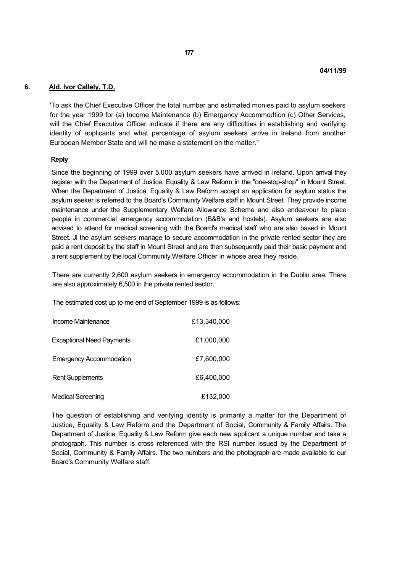### **6. Ald. Ivor Callely, T.D.**

'To ask the Chief Executive Officer the total number and estimated monies paid to asylum seekers for the year 1999 for (a) Income Maintenance (b) Emergency Accommodtion (c) Other Services, will the Chief Executive Officer indicate if there are any difficulties in establishing and verifying identity of applicants and what percentage of asylum seekers arrive in Ireland from another European Member State and will he make a statement on the matter."

#### **Reply**

Since the beginning of 1999 over 5,000 asylum seekers have arrived in Ireland. Upon arrival they register with the Department of Justice, Equality & Law Reform in the "one-stop-shop" in Mount Street. When the Department of Justice, Equality & Law Reform accept an application for asylum status the asylum seeker is referred to the Board's Community Welfare staff in Mount Street. They provide income maintenance under the Supplementary Welfare Allowance Scheme and also endeavour to place people in commercial emergency accommodation (B&B's and hostels). Asylum seekers are also advised to attend for medical screening with the Board's medical staff who are also based in Mount Street. Ji the asylum seekers manage to secure accommodation in the private rented sector they are paid a rent deposit by the staff in Mount Street and are then subsequently paid their basic payment and a rent supplement by the local Community Welfare Officer in whose area they reside.

There are currently 2,600 asylum seekers in emergency accommodation in the Dublin area. There are also approximately 6,500 in the private rented sector.

The estimated cost up to me end of September 1999 is as follows:

| Income Maintenance               | £13,340,000 |
|----------------------------------|-------------|
| <b>Exceptional Need Payments</b> | £1,000,000  |
| <b>Emergency Accommodation</b>   | £7,600,000  |
| <b>Rent Supplements</b>          | £6,400,000  |
| <b>Medical Screening</b>         | £132,000    |

The question of establishing and verifying identity is primarily a matter for the Department of Justice, Equality & Law Reform and the Department of Social, Community & Family Affairs. The Department of Justice, Equality & Law Reform give each new applicant a unique number and take a photograph. This number is cross referenced with the RSI number issued by the Department of Social, Community & Family Affairs. The two numbers and the photograph are made available to our Board's Community Welfare staff.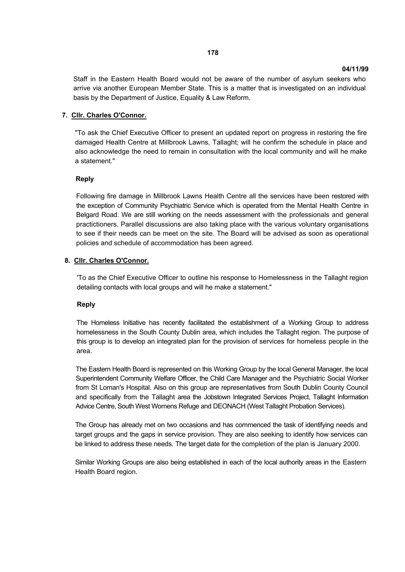Staff in the Eastern Health Board would not be aware of the number of asylum seekers who arrive via another European Member State. This is a matter that is investigated on an individual basis by the Department of Justice, Equality & Law Reform.

### **7. Cllr. Charles O'Connor.**

"To ask the Chief Executive Officer to present an updated report on progress in restoring the fire damaged Health Centre at Millbrook Lawns, Tallaght; will he confirm the schedule in place and also acknowledge the need to remain in consultation with the local community and will he make a statement."

#### **Reply**

Following fire damage in Millbrook Lawns Health Centre all the services have been restored with the exception of Community Psychiatric Service which is operated from the Mental Health Centre in Belgard Road. We are still working on the needs assessment with the professionals and general practictioners. Parallel discussions are also taking place with the various voluntary organisations to see if their needs can be meet on the site. The Board will be advised as soon as operational policies and schedule of accommodation has been agreed.

#### **8. Cllr. Charles O'Connor.**

'To as the Chief Executive Officer to outline his response to Homelessness in the Tallaght region detailing contacts with local groups and will he make a statement."

#### **Reply**

The Homeless Initiative has recently facilitated the establishment of a Working Group to address homelessness in the South County Dublin area, which includes the Tallaght region. The purpose of this group is to develop an integrated plan for the provision of services for homeless people in the area.

The Eastern Health Board is represented on this Working Group by the local General Manager, the local Superintendent Community Welfare Officer, the Child Care Manager and the Psychiatric Social Worker from St Loman's Hospital. Also on this group are representatives from South Dublin County Council and specifically from the Tallaght area the Jobstown Integrated Services Project, Tallaght Information Advice Centre, South West Womens Refuge and DEONACH (West Tallaght Probation Services).

The Group has already met on two occasions and has commenced the task of identifying needs and target groups and the gaps in service provision. They are also seeking to identify how services can be linked to address these needs. The target date for the completion of the plan is January 2000.

Similar Working Groups are also being established in each of the local authority areas in the Eastern Health Board region.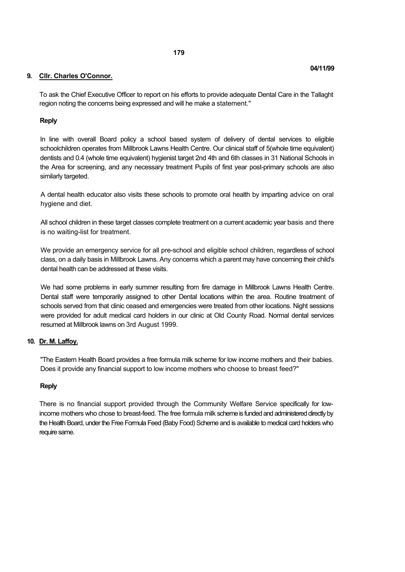### **9. Cllr. Charles O'Connor.**

To ask the Chief Executive Officer to report on his efforts to provide adequate Dental Care in the Tallaght region noting the concerns being expressed and will he make a statement."

### **Reply**

In line with overall Board policy a school based system of delivery of dental services to eligible schoolchildren operates from Millbrook Lawns Health Centre. Our clinical staff of 5(whole time equivalent) dentists and 0.4 (whole time equivalent) hygienist target 2nd 4th and 6th classes in 31 National Schools in the Area for screening, and any necessary treatment Pupils of first year post-primary schools are also similarly targeted.

A dental health educator also visits these schools to promote oral health by imparting advice on oral hygiene and diet.

All school children in these target classes complete treatment on a current academic year basis and there is no waiting-list for treatment.

We provide an emergency service for all pre-school and eligible school children, regardless of school class, on a daily basis in Millbrook Lawns. Any concerns which a parent may have concerning their child's dental health can be addressed at these visits.

We had some problems in early summer resulting from fire damage in Millbrook Lawns Health Centre. Dental staff were temporarily assigned to other Dental locations within the area. Routine treatment of schools served from that clinic ceased and emergencies were treated from other locations. Night sessions were provided for adult medical card holders in our clinic at Old County Road. Normal dental services resumed at Millbrook lawns on 3rd August 1999.

#### **10. Dr. M. Laffoy.**

"The Eastern Health Board provides a free formula milk scheme for low income mothers and their babies. Does it provide any financial support to low income mothers who choose to breast feed?"

#### **Reply**

There is no financial support provided through the Community Welfare Service specifically for lowincome mothers who chose to breast-feed. The free formula milk scheme is funded and administered directly by the Health Board, under the Free Formula Feed (Baby Food) Scheme and is available to medical card holders who require same.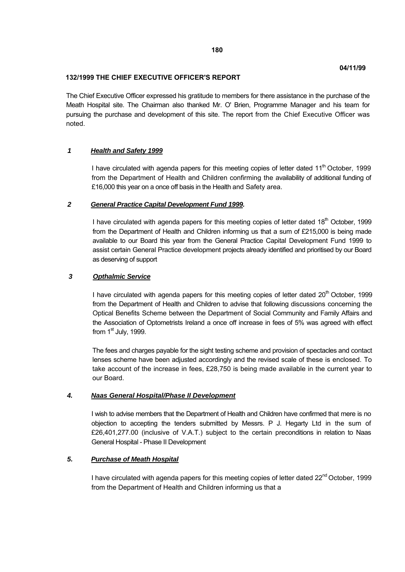### **132/1999 THE CHIEF EXECUTIVE OFFICER'S REPORT**

The Chief Executive Officer expressed his gratitude to members for there assistance in the purchase of the Meath Hospital site. The Chairman also thanked Mr. O' Brien, Programme Manager and his team for pursuing the purchase and development of this site. The report from the Chief Executive Officer was noted.

## *1 Health and Safety 1999*

I have circulated with agenda papers for this meeting copies of letter dated  $11<sup>th</sup>$  October, 1999 from the Department of Health and Children confirming the availability of additional funding of £16,000 this year on a once off basis in the Health and Safety area.

## *2 General Practice Capital Development Fund 1999.*

I have circulated with agenda papers for this meeting copies of letter dated  $18<sup>th</sup>$  October, 1999 from the Department of Health and Children informing us that a sum of £215,000 is being made available to our Board this year from the General Practice Capital Development Fund 1999 to assist certain General Practice development projects already identified and prioritised by our Board as deserving of support

### *3 Opthalmic Service*

I have circulated with agenda papers for this meeting copies of letter dated  $20<sup>th</sup>$  October, 1999 from the Department of Health and Children to advise that following discussions concerning the Optical Benefits Scheme between the Department of Social Community and Family Affairs and the Association of Optometrists Ireland a once off increase in fees of 5% was agreed with effect from  $1<sup>st</sup>$  July, 1999.

The fees and charges payable for the sight testing scheme and provision of spectacles and contact lenses scheme have been adjusted accordingly and the revised scale of these is enclosed. To take account of the increase in fees, £28,750 is being made available in the current year to our Board.

## *4. Naas General Hospital/Phase II Development*

I wish to advise members that the Department of Health and Children have confirmed that mere is no objection to accepting the tenders submitted by Messrs. P J. Hegarty Ltd in the sum of £26,401,277.00 (inclusive of V.A.T.) subject to the certain preconditions in relation to Naas General Hospital - Phase II Development

## *5. Purchase of Meath Hospital*

I have circulated with agenda papers for this meeting copies of letter dated 22<sup>nd</sup> October, 1999 from the Department of Health and Children informing us that a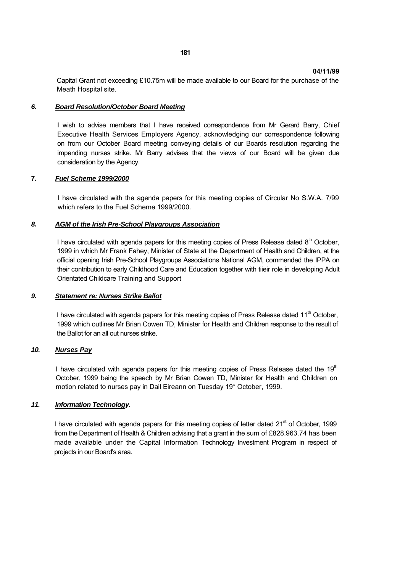Capital Grant not exceeding £10.75m will be made available to our Board for the purchase of the Meath Hospital site.

### *6. Board Resolution/October Board Meeting*

I wish to advise members that I have received correspondence from Mr Gerard Barry, Chief Executive Health Services Employers Agency, acknowledging our correspondence following on from our October Board meeting conveying details of our Boards resolution regarding the impending nurses strike. Mr Barry advises that the views of our Board will be given due consideration by the Agency.

## **7.** *Fuel Scheme 1999/2000*

I have circulated with the agenda papers for this meeting copies of Circular No S.W.A. 7/99 which refers to the Fuel Scheme 1999/2000.

### *8. AGM of the Irish Pre-School Playgroups Association*

I have circulated with agenda papers for this meeting copies of Press Release dated  $8<sup>th</sup>$  October, 1999 in which Mr Frank Fahey, Minister of State at the Department of Health and Children, at the official opening Irish Pre-School Playgroups Associations National AGM, commended the IPPA on their contribution to early Childhood Care and Education together with tiieir role in developing Adult Orientated Childcare Training and Support

## *9. Statement re: Nurses Strike Ballot*

I have circulated with agenda papers for this meeting copies of Press Release dated  $11<sup>th</sup>$  October. 1999 which outlines Mr Brian Cowen TD, Minister for Health and Children response to the result of the Ballot for an all out nurses strike.

#### *10. Nurses Pay*

I have circulated with agenda papers for this meeting copies of Press Release dated the  $19<sup>th</sup>$ October, 1999 being the speech by Mr Brian Cowen TD, Minister for Health and Children on motion related to nurses pay in Dail Eireann on Tuesday 19\* October, 1999.

## *11. Information Technology.*

I have circulated with agenda papers for this meeting copies of letter dated 21<sup>st</sup> of October, 1999 from the Department of Health & Children advising that a grant in the sum of £828.963.74 has been made available under the Capital Information Technology Investment Program in respect of projects in our Board's area.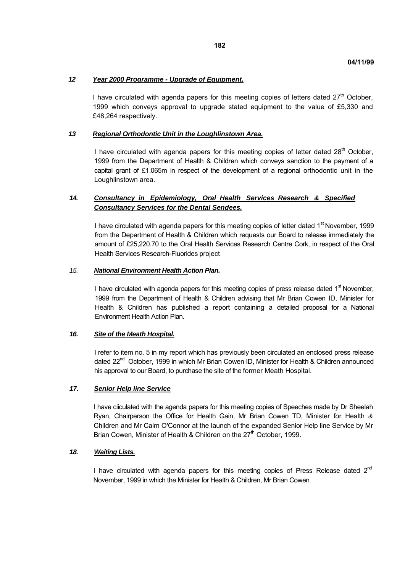### *12 Year 2000 Programme - Upgrade of Equipment.*

I have circulated with agenda papers for this meeting copies of letters dated  $27<sup>th</sup>$  October, 1999 which conveys approval to upgrade stated equipment to the value of £5,330 and £48,264 respectively.

### *13 Regional Orthodontic Unit in the Loughlinstown Area.*

I have circulated with agenda papers for this meeting copies of letter dated 28<sup>th</sup> October. 1999 from the Department of Health & Children which conveys sanction to the payment of a capital grant of £1.065m in respect of the development of a regional orthodontic unit in the Loughlinstown area.

# *14. Consultancy in Epidemiology, Oral Health Services Research & Specified Consultancy Services for the Dental Sendees.*

I have circulated with agenda papers for this meeting copies of letter dated 1<sup>st</sup> November, 1999 from the Department of Health & Children which requests our Board to release immediately the amount of £25,220.70 to the Oral Health Services Research Centre Cork, in respect of the Oral Health Services Research-Fluorides project

#### *15. National Environment Health Action Plan.*

I have circulated with agenda papers for this meeting copies of press release dated  $1<sup>st</sup>$  November, 1999 from the Department of Health & Children advising that Mr Brian Cowen ID, Minister for Health & Children has published a report containing a detailed proposal for a National Environment Health Action Plan.

#### *16. Site of the Meath Hospital.*

I refer to item no. 5 in my report which has previously been circulated an enclosed press release dated 22<sup>nd</sup> October, 1999 in which Mr Brian Cowen ID, Minister for Health & Children announced his approval to our Board, to purchase the site of the former Meath Hospital.

## *17. Senior Help line Service*

I have ciiculated with the agenda papers for this meeting copies of Speeches made by Dr Sheelah Ryan, Chairperson the Office for Health Gain, Mr Brian Cowen TD, Minister for Health *&*  Children and Mr Calm O'Connor at the launch of the expanded Senior Help line Service by Mr Brian Cowen, Minister of Health & Children on the 27<sup>th</sup> October, 1999.

## *18. Waiting Lists.*

I have circulated with agenda papers for this meeting copies of Press Release dated  $2^{nd}$ November, 1999 in which the Minister for Health & Children, Mr Brian Cowen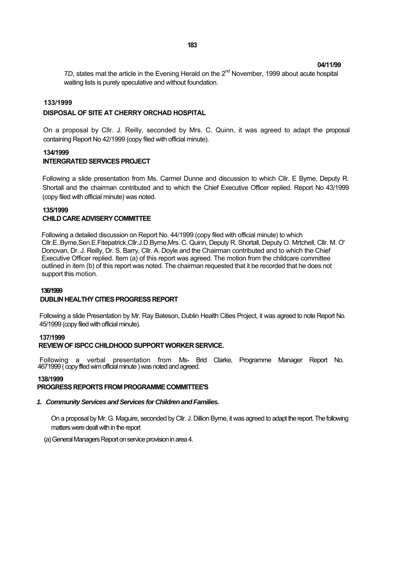**04/11/99**

*TD*, states mat the article in the Evening Herald on the 2<sup>nd</sup> November, 1999 about acute hospital waiting lists is purely speculative and without foundation.

### **133/1999**

#### **DISPOSAL OF SITE AT CHERRY ORCHAD HOSPITAL**

On a proposal by Cllr. J. Reilly, seconded by Mrs. C. Quinn, it was agreed to adapt the proposal containing Report No 42/1999 (copy filed with official minute).

#### **134/1999 INTERGRATED SERVICES PROJECT**

Following a slide presentation from Ms. Carmel Dunne and discussion to which Cllr. E Byrne, Deputy R. Shortall and the chairman contributed and to which the Chief Executive Officer replied. Report No 43/1999 (copy filed with official minute) was noted.

#### **135/1999 CHILD CARE ADVISERY COMMITTEE**

Following a detailed discussion on Report No. 44/1999 (copy filed with official minute) to which Cllr.E..Byrne,Sen.E.Fitepatrick,Cllr.J.D.Byrne,Mrs. C. Quinn, Deputy R. Shortall, Deputy O. Mrtchell, Cllr. M. O' Donovan, Dr. J. Reilly, Dr. S. Barry, Cllr. A. Doyle and the Chairman contributed and to which the Chief Executive Officer replied. Item (a) of this report was agreed. The motion from the childcare committee outlined in item (b) of this report was noted. The chairman requested that it be recorded that he does not support this motion.

#### **136/1999**

#### **DUBLIN HEALTHY CITIES PROGRESS REPORT**

Following a slide Presentation by Mr. Ray Bateson, Dublin Health Cities Project, it was agreed to note Report No. 45/1999 (copy filed with official minute).

#### **137/1999**

#### **REVIEW OF ISPCC CHILDHOOD SUPPORT WORKER SERVICE.**

Following a verbal presentation from Ms- Brid Clarke, Programme Manager Report No. 4671999 ( copy ffled wim official minute ) was noted and agreed.

#### **138/1999**

#### **PROGRESS REPORTS FROM PROGRAMME COMMITTEE'S**

#### *1. Community Services and Services for Children and Families.*

On a proposal by Mr. G. Maguire, seconded by Cllr. J. Dillion Byrne, it was agreed to adapt the report. The following matters were dealt with in the report

(a) General Managers Report on service provision in area 4.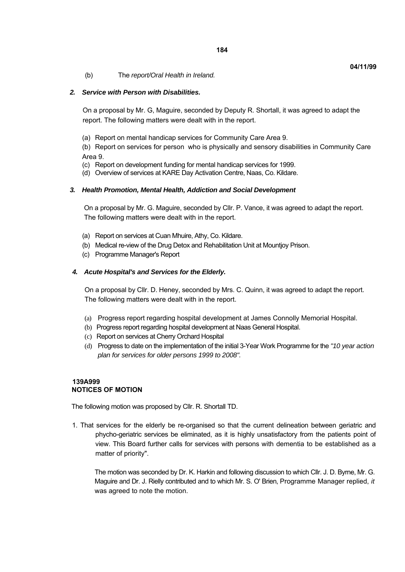(b) The *report/Oral Health in Ireland.*

### *2. Service with Person with Disabilities.*

On a proposal by Mr. G, Maguire, seconded by Deputy R. Shortall, it was agreed to adapt the report. The following matters were dealt with in the report.

(a) Report on mental handicap services for Community Care Area 9.

(b) Report on services for person who is physically and sensory disabilities in Community Care Area 9.

- (c) Report on development funding for mental handicap services for 1999.
- (d) Overview of services at KARE Day Activation Centre, Naas, Co. Kildare.

### *3. Health Promotion, Mental Health, Addiction and Social Development*

On a proposal by Mr. G. Maguire, seconded by Cllr. P. Vance, it was agreed to adapt the report. The following matters were dealt with in the report.

- (a) Report on services at Cuan Mhuire, Athy, Co. Kildare.
- (b) Medical re-view of the Drug Detox and Rehabilitation Unit at Mountjoy Prison.
- (c) Programme Manager's Report

### *4. Acute Hospital's and Services for the Elderly.*

On a proposal by Cllr. D. Heney, seconded by Mrs. C. Quinn, it was agreed to adapt the report. The following matters were dealt with in the report.

- (a) Progress report regarding hospital development at James Connolly Memorial Hospital.
- (b) Progress report regarding hospital development at Naas General Hospital.
- (c) Report on services at Cherry Orchard Hospital
- (d) Progress to date on the implementation of the initial 3-Year Work Programme for the *"10 year action plan for services for older persons 1999 to 2008".*

## **139A999 NOTICES OF MOTION**

The following motion was proposed by Cllr. R. Shortall TD.

1. That services for the elderly be re-organised so that the current delineation between geriatric and phycho-geriatric services be eliminated, as it is highly unsatisfactory from the patients point of view. This Board further calls for services with persons with dementia to be established as a matter of priority".

The motion was seconded by Dr. K. Harkin and following discussion to which Cllr. J. D. Byrne, Mr. G. Maguire and Dr. J. Rielly contributed and to which Mr. S. O' Brien, Programme Manager replied, *it*  was agreed to note the motion.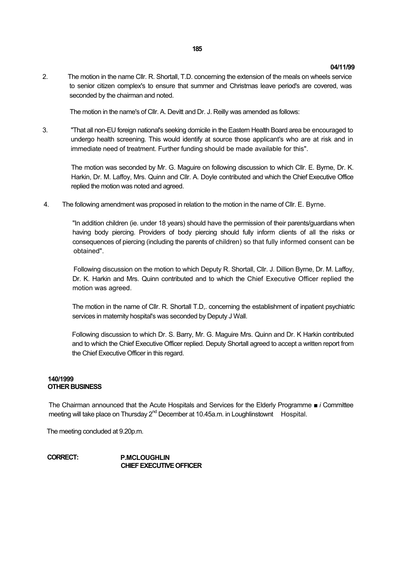#### **04/11/99**

2. The motion in the name Cllr. R. Shortall, T.D. concerning the extension of the meals on wheels service to senior citizen complex's to ensure that summer and Christmas leave period's are covered, was seconded by the chairman and noted.

The motion in the name's of Cllr. A. Devitt and Dr. J. Reilly was amended as follows:

3. "That all non-EU foreign national's seeking domicile in the Eastern Health Board area be encouraged to undergo health screening. This would identify at source those applicant's who are at risk and in immediate need of treatment. Further funding should be made available for this".

The motion was seconded by Mr. G. Maguire on following discussion to which Cllr. E. Byrne, Dr. K. Harkin, Dr. M. Laffoy, Mrs. Quinn and Cllr. A. Doyle contributed and which the Chief Executive Office replied the motion was noted and agreed.

4. The following amendment was proposed in relation to the motion in the name of Cllr. E. Byrne.

"In addition children (ie. under 18 years) should have the permission of their parents/guardians when having body piercing. Providers of body piercing should fully inform clients of all the risks or consequences of piercing (including the parents of children) so that fully informed consent can be obtained".

Following discussion on the motion to which Deputy R. Shortall, Cllr. J. Dillion Byrne, Dr. M. Laffoy, Dr. K. Harkin and Mrs. Quinn contributed and to which the Chief Executive Officer replied the motion was agreed.

The motion in the name of Cllr. R. Shortall T.D,. concerning the establishment of inpatient psychiatric services in maternity hospital's was seconded by Deputy J Wall.

Following discussion to which Dr. S. Barry, Mr. G. Maguire Mrs. Quinn and Dr. K Harkin contributed and to which the Chief Executive Officer replied. Deputy Shortall agreed to accept a written report from the Chief Executive Officer in this regard.

#### **140/1999 OTHER BUSINESS**

The Chairman announced that the Acute Hospitals and Services for the Elderly Programme ■ *i* Committee meeting will take place on Thursday  $2^{nd}$  December at 10.45a.m. in Loughlinstownt Hospital.

The meeting concluded at 9.20p.m.

**CORRECT: P.MCLOUGHLIN CHIEF EXECUTIVE OFFICER**

#### **185**